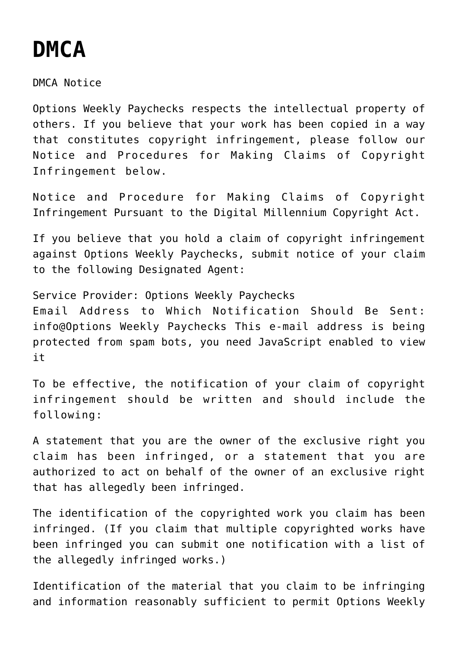## **[DMCA](https://optionsweeklypaychecks.com/contact/dmca/)**

DMCA Notice

Options Weekly Paychecks respects the intellectual property of others. If you believe that your work has been copied in a way that constitutes copyright infringement, please follow our Notice and Procedures for Making Claims of Copyright Infringement below.

Notice and Procedure for Making Claims of Copyright Infringement Pursuant to the Digital Millennium Copyright Act.

If you believe that you hold a claim of copyright infringement against Options Weekly Paychecks, submit notice of your claim to the following Designated Agent:

Service Provider: Options Weekly Paychecks Email Address to Which Notification Should Be Sent: info@Options Weekly Paychecks This e-mail address is being protected from spam bots, you need JavaScript enabled to view it

To be effective, the notification of your claim of copyright infringement should be written and should include the following:

A statement that you are the owner of the exclusive right you claim has been infringed, or a statement that you are authorized to act on behalf of the owner of an exclusive right that has allegedly been infringed.

The identification of the copyrighted work you claim has been infringed. (If you claim that multiple copyrighted works have been infringed you can submit one notification with a list of the allegedly infringed works.)

Identification of the material that you claim to be infringing and information reasonably sufficient to permit Options Weekly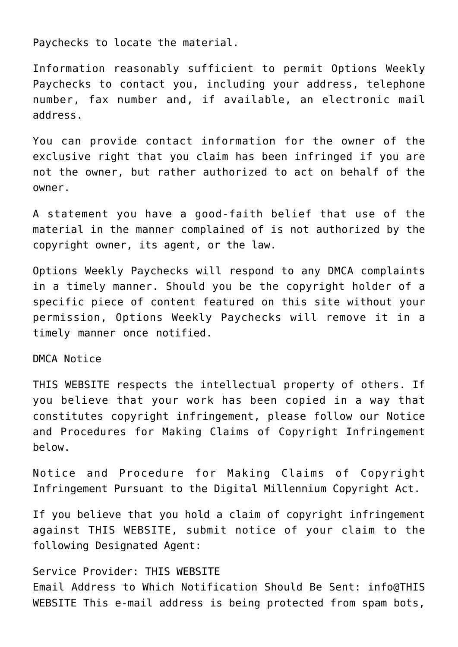Paychecks to locate the material.

Information reasonably sufficient to permit Options Weekly Paychecks to contact you, including your address, telephone number, fax number and, if available, an electronic mail address.

You can provide contact information for the owner of the exclusive right that you claim has been infringed if you are not the owner, but rather authorized to act on behalf of the owner.

A statement you have a good-faith belief that use of the material in the manner complained of is not authorized by the copyright owner, its agent, or the law.

Options Weekly Paychecks will respond to any DMCA complaints in a timely manner. Should you be the copyright holder of a specific piece of content featured on this site without your permission, Options Weekly Paychecks will remove it in a timely manner once notified.

DMCA Notice

THIS WEBSITE respects the intellectual property of others. If you believe that your work has been copied in a way that constitutes copyright infringement, please follow our Notice and Procedures for Making Claims of Copyright Infringement below.

Notice and Procedure for Making Claims of Copyright Infringement Pursuant to the Digital Millennium Copyright Act.

If you believe that you hold a claim of copyright infringement against THIS WEBSITE, submit notice of your claim to the following Designated Agent:

## Service Provider: THIS WEBSITE

Email Address to Which Notification Should Be Sent: info@THIS WEBSITE This e-mail address is being protected from spam bots,